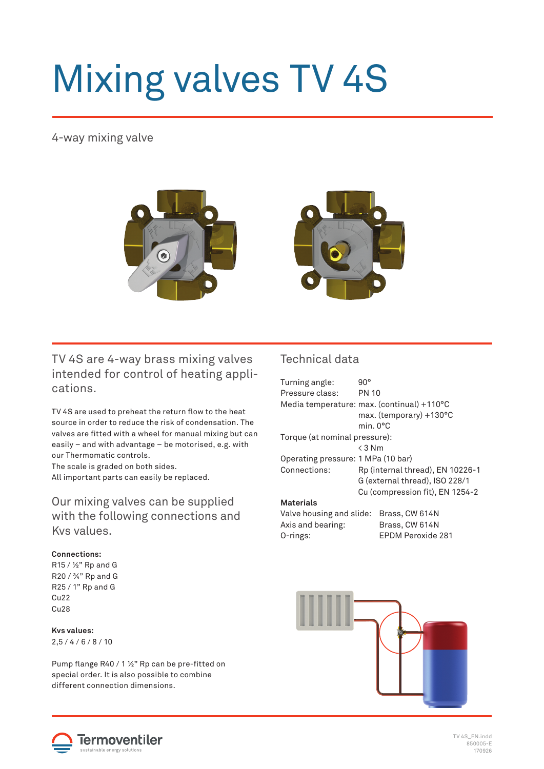# Mixing valves TV 4S

## 4-way mixing valve



TV 4S are 4-way brass mixing valves intended for control of heating applications.

TV 4S are used to preheat the return flow to the heat source in order to reduce the risk of condensation. The valves are fitted with a wheel for manual mixing but can easily – and with advantage – be motorised, e.g. with our Thermomatic controls.

The scale is graded on both sides. All important parts can easily be replaced.

Our mixing valves can be supplied with the following connections and Kvs values.

### **Connections:**

R15 / ½" Rp and G R20 / ¾" Rp and G R25 / 1" Rp and G Cu22  $C<sub>U</sub>28$ 

#### **Kvs values:**  $2.5 / 4 / 6 / 8 / 10$

Pump flange R40 / 1 1/2" Rp can be pre-fitted on special order. It is also possible to combine different connection dimensions.

## Technical data

| Turning angle:                     | $90^{\circ}$                               |                   |  |  |  |
|------------------------------------|--------------------------------------------|-------------------|--|--|--|
| Pressure class:                    | <b>PN 10</b>                               |                   |  |  |  |
|                                    | Media temperature: max. (continual) +110°C |                   |  |  |  |
|                                    | max. (temporary) +130°C                    |                   |  |  |  |
|                                    | min. 0°C                                   |                   |  |  |  |
| Torque (at nominal pressure):      |                                            |                   |  |  |  |
|                                    | $\leq 3$ Nm                                |                   |  |  |  |
| Operating pressure: 1 MPa (10 bar) |                                            |                   |  |  |  |
| Connections:                       | Rp (internal thread), EN 10226-1           |                   |  |  |  |
|                                    | G (external thread), ISO 228/1             |                   |  |  |  |
|                                    | Cu (compression fit), EN 1254-2            |                   |  |  |  |
| <b>Materials</b>                   |                                            |                   |  |  |  |
| Valve housing and slide:           |                                            | Brass, CW 614N    |  |  |  |
| Axis and bearing:                  |                                            | Brass, CW 614N    |  |  |  |
| O-rings:                           |                                            | EPDM Peroxide 281 |  |  |  |
|                                    |                                            |                   |  |  |  |





TV 4S\_EN.indd 850005-E 170926